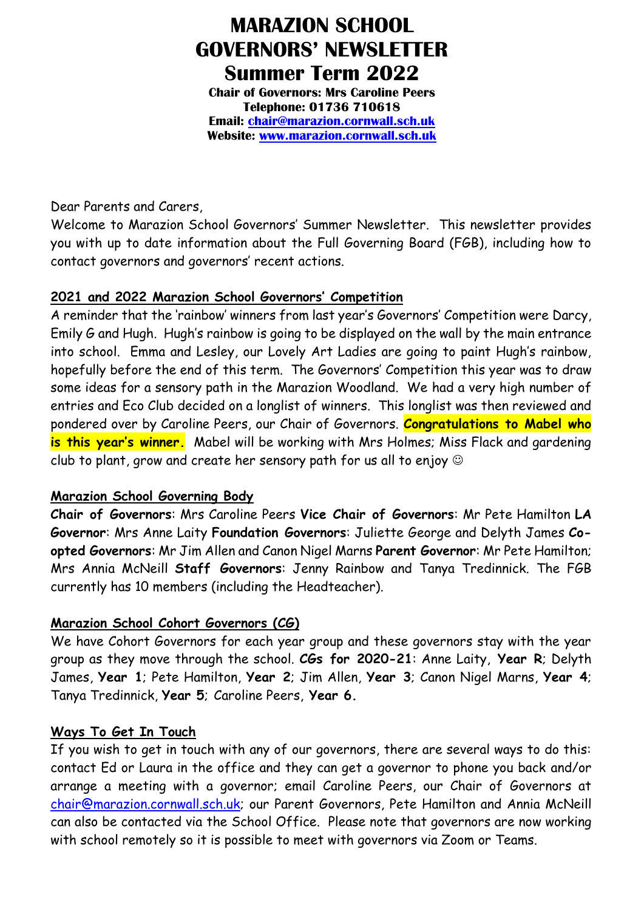# **MARAZION SCHOOL GOVERNORS' NEWSLETTER Summer Term 2022**

**Chair of Governors: Mrs Caroline Peers Telephone: 01736 710618 Email: [chair@marazion.cornwall.sch.uk](mailto:chair@marazion.cornwall.sch.uk) Website: [www.marazion.cornwall.sch.uk](http://www.marazion.cornwall.sch.uk/)**

Dear Parents and Carers,

Welcome to Marazion School Governors' Summer Newsletter. This newsletter provides you with up to date information about the Full Governing Board (FGB), including how to contact governors and governors' recent actions.

### **2021 and 2022 Marazion School Governors' Competition**

A reminder that the 'rainbow' winners from last year's Governors' Competition were Darcy, Emily G and Hugh. Hugh's rainbow is going to be displayed on the wall by the main entrance into school. Emma and Lesley, our Lovely Art Ladies are going to paint Hugh's rainbow, hopefully before the end of this term. The Governors' Competition this year was to draw some ideas for a sensory path in the Marazion Woodland. We had a very high number of entries and Eco Club decided on a longlist of winners. This longlist was then reviewed and pondered over by Caroline Peers, our Chair of Governors. **Congratulations to Mabel who is this year's winner.** Mabel will be working with Mrs Holmes; Miss Flack and gardening club to plant, grow and create her sensory path for us all to enjoy  $\odot$ 

## **Marazion School Governing Body**

**Chair of Governors**: Mrs Caroline Peers **Vice Chair of Governors**: Mr Pete Hamilton **LA Governor**: Mrs Anne Laity **Foundation Governors**: Juliette George and Delyth James **Coopted Governors**: Mr Jim Allen and Canon Nigel Marns **Parent Governor**: Mr Pete Hamilton; Mrs Annia McNeill **Staff Governors**: Jenny Rainbow and Tanya Tredinnick. The FGB currently has 10 members (including the Headteacher).

## **Marazion School Cohort Governors (CG)**

We have Cohort Governors for each year group and these governors stay with the year group as they move through the school. **CGs for 2020-21**: Anne Laity, **Year R**; Delyth James, **Year 1**; Pete Hamilton, **Year 2**; Jim Allen, **Year 3**; Canon Nigel Marns, **Year 4**; Tanya Tredinnick, **Year 5**; Caroline Peers, **Year 6.**

#### **Ways To Get In Touch**

If you wish to get in touch with any of our governors, there are several ways to do this: contact Ed or Laura in the office and they can get a governor to phone you back and/or arrange a meeting with a governor; email Caroline Peers, our Chair of Governors at [chair@marazion.cornwall.sch.uk;](mailto:chair@marazion.cornwall.sch.uk) our Parent Governors, Pete Hamilton and Annia McNeill can also be contacted via the School Office. Please note that governors are now working with school remotely so it is possible to meet with governors via Zoom or Teams.